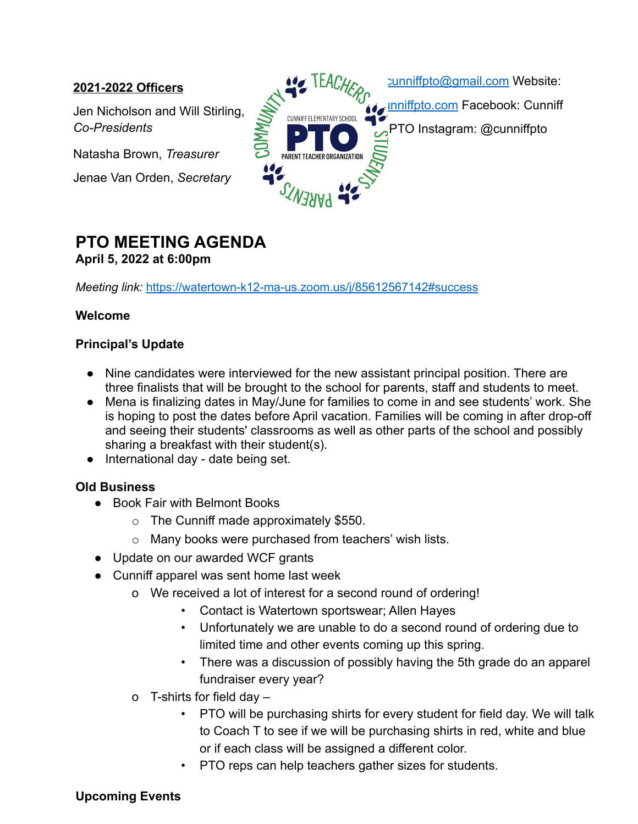### **2021-2022 Officers**

Jen Nicholson and Will Stirling, *Co-Presidents*

Natasha Brown, *Treasurer*

Jenae Van Orden, *Secretary*



# **PTO MEETING AGENDA April 5, 2022 at 6:00pm**

*Meeting link:* https://watertown-k12-ma-us.zoom.us/j/85612567142#success

### **Welcome**

#### **Principal's Update**

- Nine candidates were interviewed for the new assistant principal position. There are three finalists that will be brought to the school for parents, staff and students to meet.
- Mena is finalizing dates in May/June for families to come in and see students' work. She is hoping to post the dates before April vacation. Families will be coming in after drop-off and seeing their students' classrooms as well as other parts of the school and possibly sharing a breakfast with their student(s).
- International day date being set.

# **Old Business**

- Book Fair with Belmont Books
	- $\circ$  The Cunniff made approximately \$550.
	- o Many books were purchased from teachers' wish lists.
- Update on our awarded WCF grants
- Cunniff apparel was sent home last week
	- o We received a lot of interest for a second round of ordering!
		- Contact is Watertown sportswear; Allen Hayes
		- Unfortunately we are unable to do a second round of ordering due to limited time and other events coming up this spring.
		- There was a discussion of possibly having the 5th grade do an apparel fundraiser every year?
	- o T-shirts for field day
		- PTO will be purchasing shirts for every student for field day. We will talk to Coach T to see if we will be purchasing shirts in red, white and blue or if each class will be assigned a different color.
		- PTO reps can help teachers gather sizes for students.

# **Upcoming Events**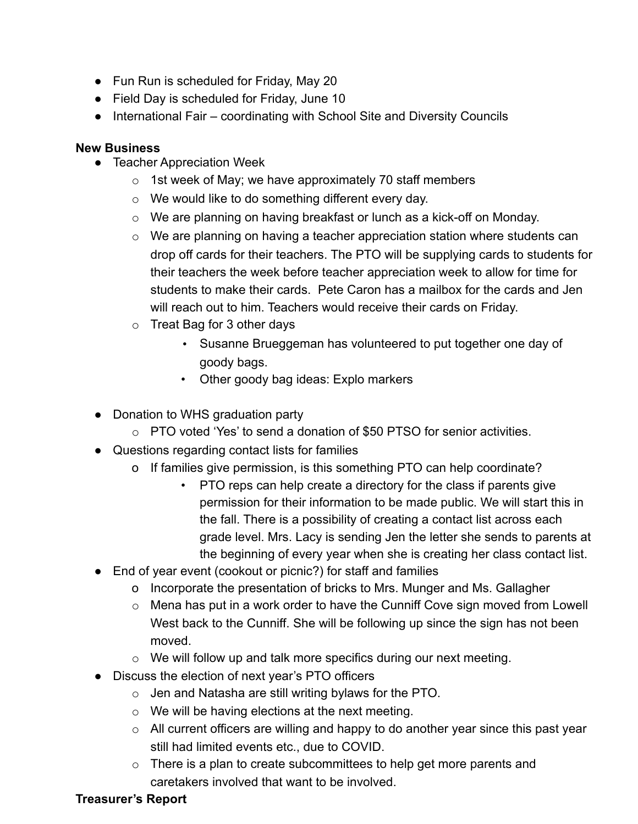- Fun Run is scheduled for Friday, May 20
- Field Day is scheduled for Friday, June 10
- International Fair coordinating with School Site and Diversity Councils

#### **New Business**

- Teacher Appreciation Week
	- $\circ$  1st week of May; we have approximately 70 staff members
	- o We would like to do something different every day.
	- o We are planning on having breakfast or lunch as a kick-off on Monday.
	- o We are planning on having a teacher appreciation station where students can drop off cards for their teachers. The PTO will be supplying cards to students for their teachers the week before teacher appreciation week to allow for time for students to make their cards. Pete Caron has a mailbox for the cards and Jen will reach out to him. Teachers would receive their cards on Friday.
	- o Treat Bag for 3 other days
		- Susanne Brueggeman has volunteered to put together one day of goody bags.
		- Other goody bag ideas: Explo markers
- Donation to WHS graduation party
	- o PTO voted 'Yes' to send a donation of \$50 PTSO for senior activities.
- Questions regarding contact lists for families
	- o If families give permission, is this something PTO can help coordinate?
		- PTO reps can help create a directory for the class if parents give permission for their information to be made public. We will start this in the fall. There is a possibility of creating a contact list across each grade level. Mrs. Lacy is sending Jen the letter she sends to parents at the beginning of every year when she is creating her class contact list.
- End of year event (cookout or picnic?) for staff and families
	- o Incorporate the presentation of bricks to Mrs. Munger and Ms. Gallagher
	- o Mena has put in a work order to have the Cunniff Cove sign moved from Lowell West back to the Cunniff. She will be following up since the sign has not been moved.
	- o We will follow up and talk more specifics during our next meeting.
- Discuss the election of next year's PTO officers
	- o Jen and Natasha are still writing bylaws for the PTO.
	- $\circ$  We will be having elections at the next meeting.
	- o All current officers are willing and happy to do another year since this past year still had limited events etc., due to COVID.
	- $\circ$  There is a plan to create subcommittees to help get more parents and caretakers involved that want to be involved.

#### **Treasurer's Report**